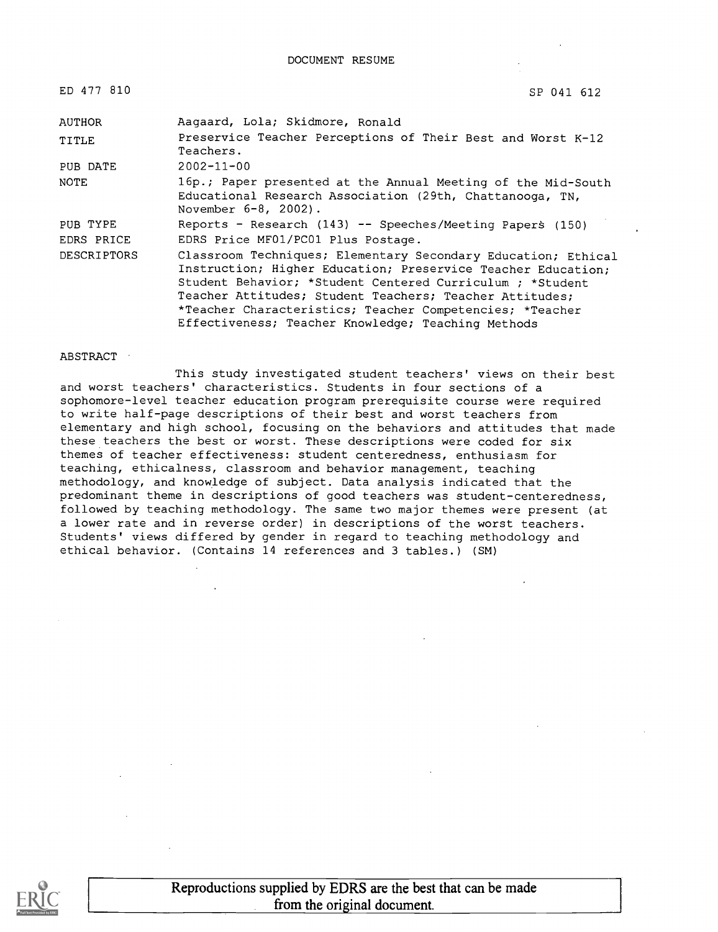| ED 477 810  | SP 041 612                                                                                                                                                                                                                                                                                                                                                             |
|-------------|------------------------------------------------------------------------------------------------------------------------------------------------------------------------------------------------------------------------------------------------------------------------------------------------------------------------------------------------------------------------|
| AUTHOR      | Aagaard, Lola; Skidmore, Ronald                                                                                                                                                                                                                                                                                                                                        |
| TITLE       | Preservice Teacher Perceptions of Their Best and Worst K-12<br>Teachers.                                                                                                                                                                                                                                                                                               |
| PUB DATE    | $2002 - 11 - 00$                                                                                                                                                                                                                                                                                                                                                       |
| NOTE        | 16p.; Paper presented at the Annual Meeting of the Mid-South<br>Educational Research Association (29th, Chattanooga, TN,<br>November $6-8$ , $2002$ ).                                                                                                                                                                                                                 |
| PUB TYPE    | Reports - Research $(143)$ -- Speeches/Meeting Papers (150)                                                                                                                                                                                                                                                                                                            |
| EDRS PRICE  | EDRS Price MF01/PC01 Plus Postage.                                                                                                                                                                                                                                                                                                                                     |
| DESCRIPTORS | Classroom Techniques; Elementary Secondary Education; Ethical<br>Instruction; Higher Education; Preservice Teacher Education;<br>Student Behavior; *Student Centered Curriculum; *Student<br>Teacher Attitudes; Student Teachers; Teacher Attitudes;<br>*Teacher Characteristics; Teacher Competencies; *Teacher<br>Effectiveness; Teacher Knowledge; Teaching Methods |

#### ABSTRACT

This study investigated student teachers' views on their best and worst teachers' characteristics. Students in four sections of a sophomore-level teacher education program prerequisite course were required to write half-page descriptions of their best and worst teachers from elementary and high school, focusing on the behaviors and attitudes that made these teachers the best or worst. These descriptions were coded for six themes of teacher effectiveness: student centeredness, enthusiasm for teaching, ethicalness, classroom and behavior management, teaching methodology, and knowledge of subject. Data analysis indicated that the predominant theme in descriptions of good teachers was student-centeredness, followed by teaching methodology. The same two major themes were present (at a lower rate and in reverse order) in descriptions of the worst teachers. Students' views differed by gender in regard to teaching methodology and ethical behavior. (Contains 14 references and 3 tables.) (SM)

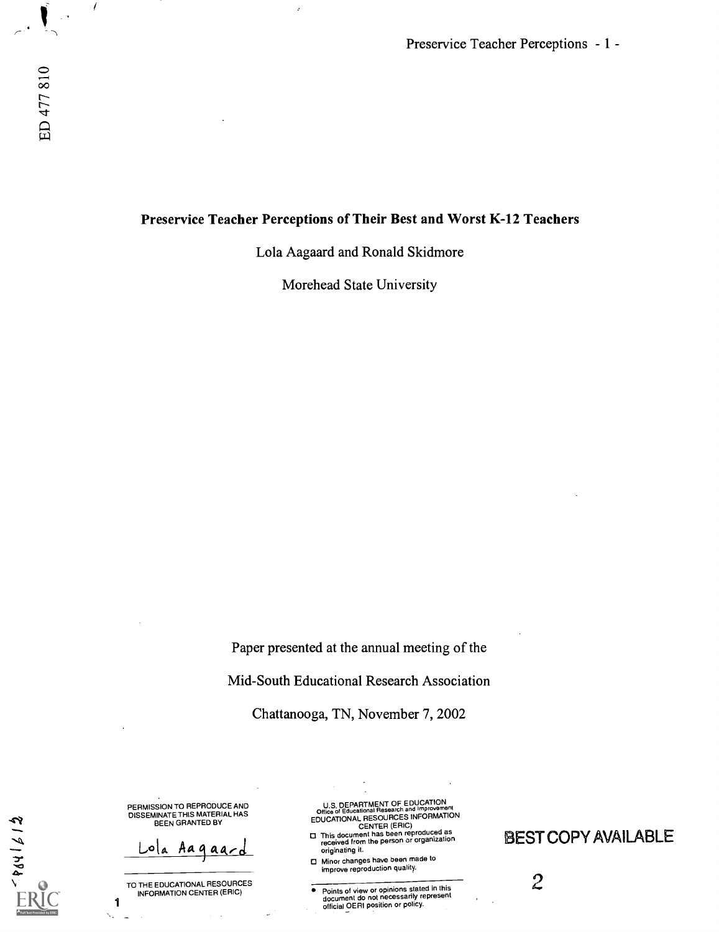Preservice Teacher Perceptions - 1 -

#### Preservice Teacher Perceptions of Their Best and Worst K-12 Teachers

Lola Aagaard and Ronald Skidmore

Morehead State University

Paper presented at the annual meeting of the

Mid-South Educational Research Association

Chattanooga, TN, November 7, 2002

PERMISSION TO REPRODUCE AND<br>DISSEMINATE THIS MATERIAL HAS<br>BEEN GRANTED BY

ola Aaqaa

 $519155$ 

TO THE EDUCATIONAL RESOURCES INFORMATION CENTER (ERIC)

1

U.S. DEPARTMENT OF EDUCATION<br>Office of Educational Research and Improvement<br>EDUCATIONAL RESOURCES INFORMATION

- CENTER (ERIC) This document has been reproduced as received from the person or organization originating it.
- Minor changes have been made to improve reproduction quality.
- **Points of view or opinions stated in this document do not necessarily represent<br>document do not necessarily represent<br>official OERI position or policy.**  $\bullet$

**BEST COPY AVAILABLE** 

2

 $\overline{\mathcal{L}}$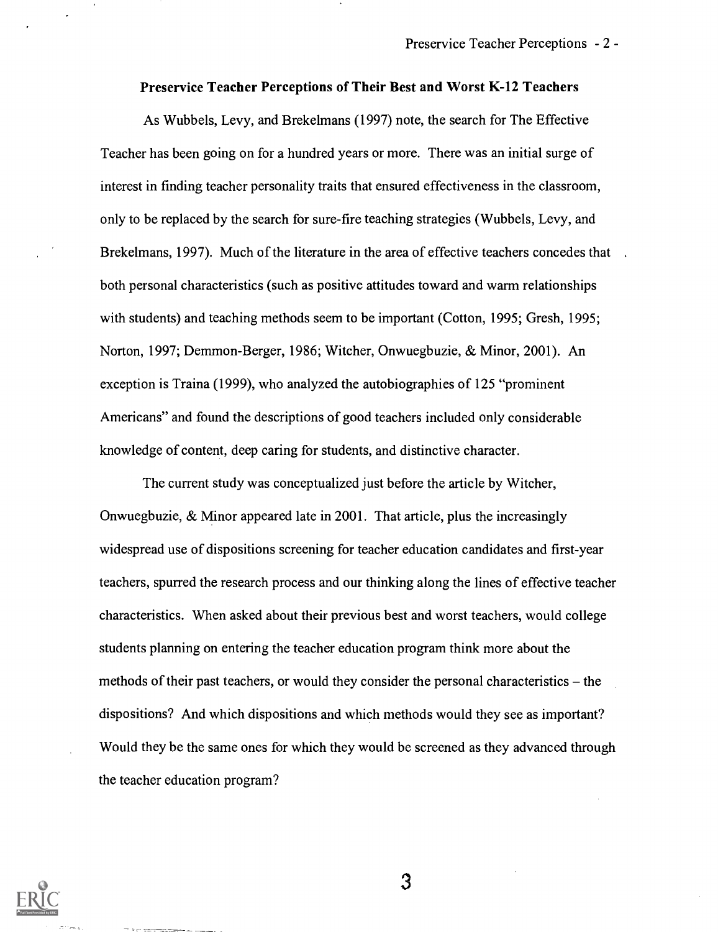#### Preservice Teacher Perceptions of Their Best and Worst K-12 Teachers

As Wubbels, Levy, and Brekelmans (1997) note, the search for The Effective Teacher has been going on for a hundred years or more. There was an initial surge of interest in finding teacher personality traits that ensured effectiveness in the classroom, only to be replaced by the search for sure-fire teaching strategies (Wubbels, Levy, and Brekelmans, 1997). Much of the literature in the area of effective teachers concedes that both personal characteristics (such as positive attitudes toward and warm relationships with students) and teaching methods seem to be important (Cotton, 1995; Gresh, 1995; Norton, 1997; Demmon-Berger, 1986; Witcher, Onwuegbuzie, & Minor, 2001). An exception is Traina (1999), who analyzed the autobiographies of 125 "prominent Americans" and found the descriptions of good teachers included only considerable knowledge of content, deep caring for students, and distinctive character.

The current study was conceptualized just before the article by Witcher, Onwuegbuzie, & Minor appeared late in 2001. That article, plus the increasingly widespread use of dispositions screening for teacher education candidates and first-year teachers, spurred the research process and our thinking along the lines of effective teacher characteristics. When asked about their previous best and worst teachers, would college students planning on entering the teacher education program think more about the methods of their past teachers, or would they consider the personal characteristics – the dispositions? And which dispositions and which methods would they see as important? Would they be the same ones for which they would be screened as they advanced through the teacher education program?

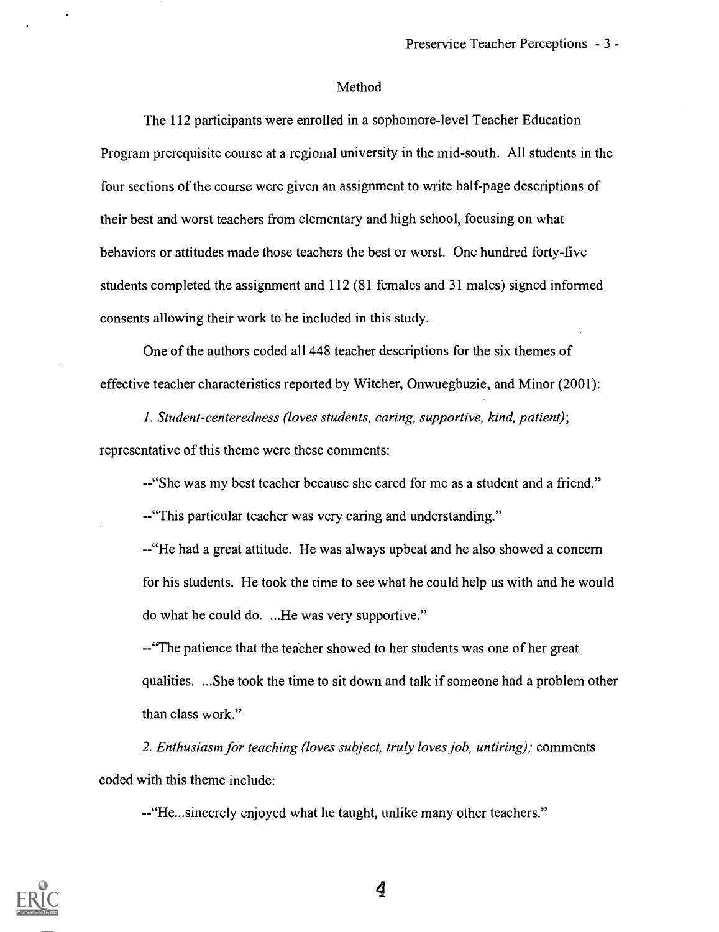#### Method

The 112 participants were enrolled in a sophomore-level Teacher Education Program prerequisite course at a regional university in the mid-south. All students in the four sections of the course were given an assignment to write half-page descriptions of their best and worst teachers from elementary and high school, focusing on what behaviors or attitudes made those teachers the best or worst. One hundred forty-five students completed the assignment and 112 (81 females and 31 males) signed informed consents allowing their work to be included in this study.

One of the authors coded all 448 teacher descriptions for the six themes of effective teacher characteristics reported by Witcher, Onwuegbuzie, and Minor (2001):

I. Student-centeredness (loves students, caring, supportive, kind, patient); representative of this theme were these comments:

--"She was my best teacher because she cared for me as a student and a friend."

--"This particular teacher was very caring and understanding."

- - "He had a great attitude. He was always upbeat and he also showed a concern for his students. He took the time to see what he could help us with and he would do what he could do. ...He was very supportive."

--"The patience that the teacher showed to her students was one of her great qualities. ...She took the time to sit down and talk if someone had a problem other than class work."

2. Enthusiasm for teaching (loves subject, truly loves job, untiring); comments coded with this theme include:

--"He...sincerely enjoyed what he taught, unlike many other teachers."

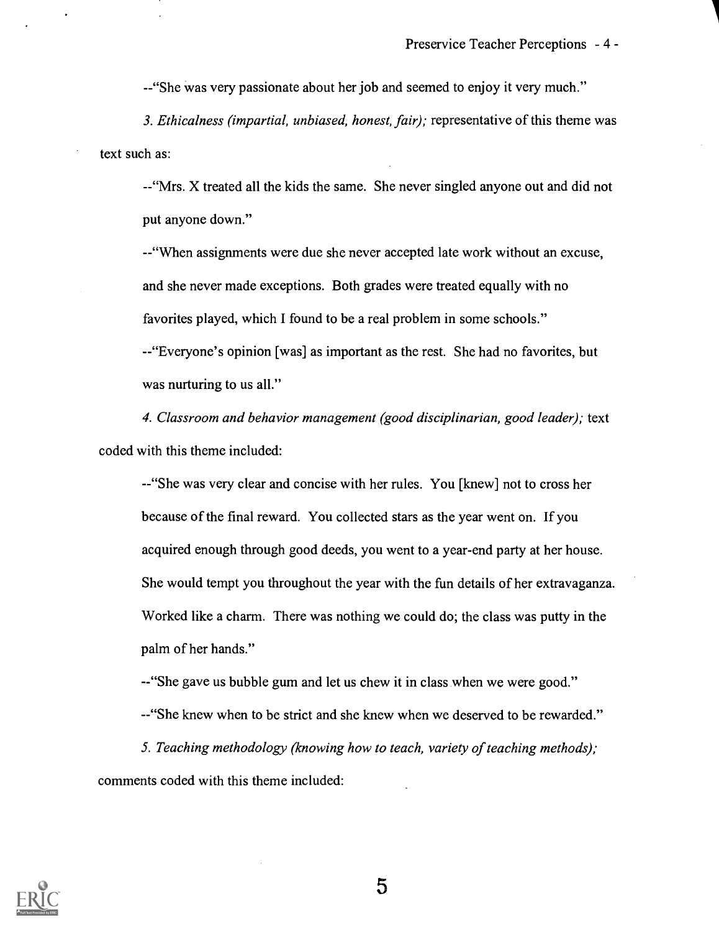--"She was very passionate about her job and seemed to enjoy it very much."

3. Ethicalness (impartial, unbiased, honest, fair); representative of this theme was text such as:

-- "Mrs. X treated all the kids the same. She never singled anyone out and did not put anyone down."

- "When assignments were due she never accepted late work without an excuse, and she never made exceptions. Both grades were treated equally with no favorites played, which I found to be a real problem in some schools."

-"Everyone's opinion [was] as important as the rest. She had no favorites, but was nurturing to us all."

4. Classroom and behavior management (good disciplinarian, good leader); text coded with this theme included:

--"She was very clear and concise with her rules. You [knew] not to cross her because of the final reward. You collected stars as the year went on. If you acquired enough through good deeds, you went to a year-end party at her house. She would tempt you throughout the year with the fun details of her extravaganza. Worked like a charm. There was nothing we could do; the class was putty in the palm of her hands."

--"She gave us bubble gum and let us chew it in class when we were good." --"She knew when to be strict and she knew when we deserved to be rewarded."

5. Teaching methodology (knowing how to teach, variety of teaching methods); comments coded with this theme included:

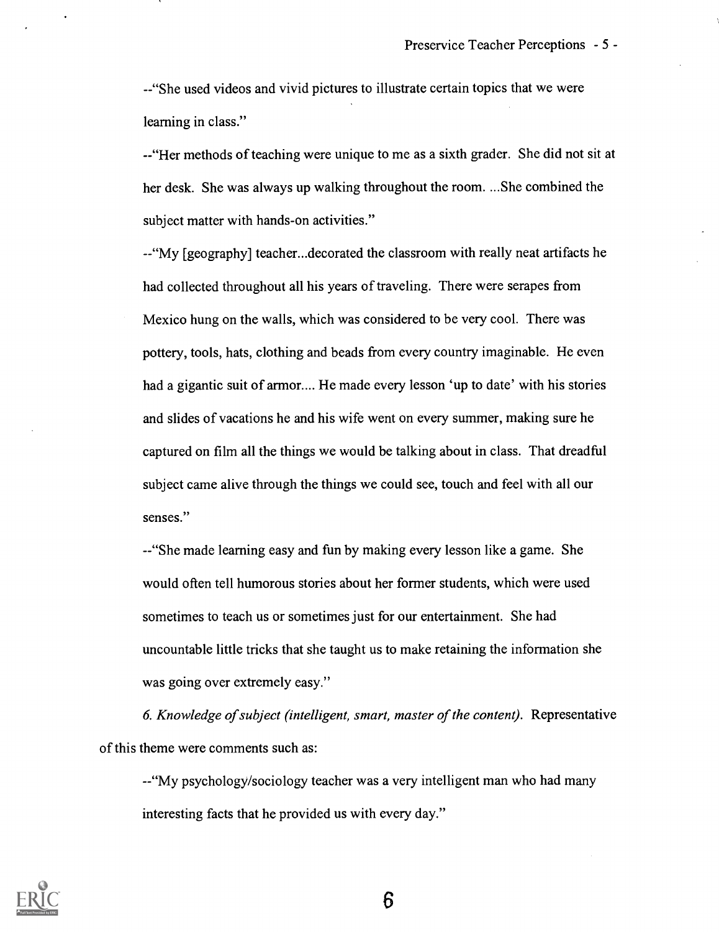--"She used videos and vivid pictures to illustrate certain topics that we were learning in class."

--"Her methods of teaching were unique to me as a sixth grader. She did not sit at her desk. She was always up walking throughout the room. ...She combined the subject matter with hands-on activities."

--"My [geography] teacher...decorated the classroom with really neat artifacts he had collected throughout all his years of traveling. There were serapes from Mexico hung on the walls, which was considered to be very cool. There was pottery, tools, hats, clothing and beads from every country imaginable. He even had a gigantic suit of armor.... He made every lesson 'up to date' with his stories and slides of vacations he and his wife went on every summer, making sure he captured on film all the things we would be talking about in class. That dreadful subject came alive through the things we could see, touch and feel with all our senses."

--"She made learning easy and fun by making every lesson like a game. She would often tell humorous stories about her former students, which were used sometimes to teach us or sometimes just for our entertainment. She had uncountable little tricks that she taught us to make retaining the information she was going over extremely easy."

6. Knowledge of subject (intelligent, smart, master of the content). Representative of this theme were comments such as:

--"My psychology/sociology teacher was a very intelligent man who had many interesting facts that he provided us with every day."

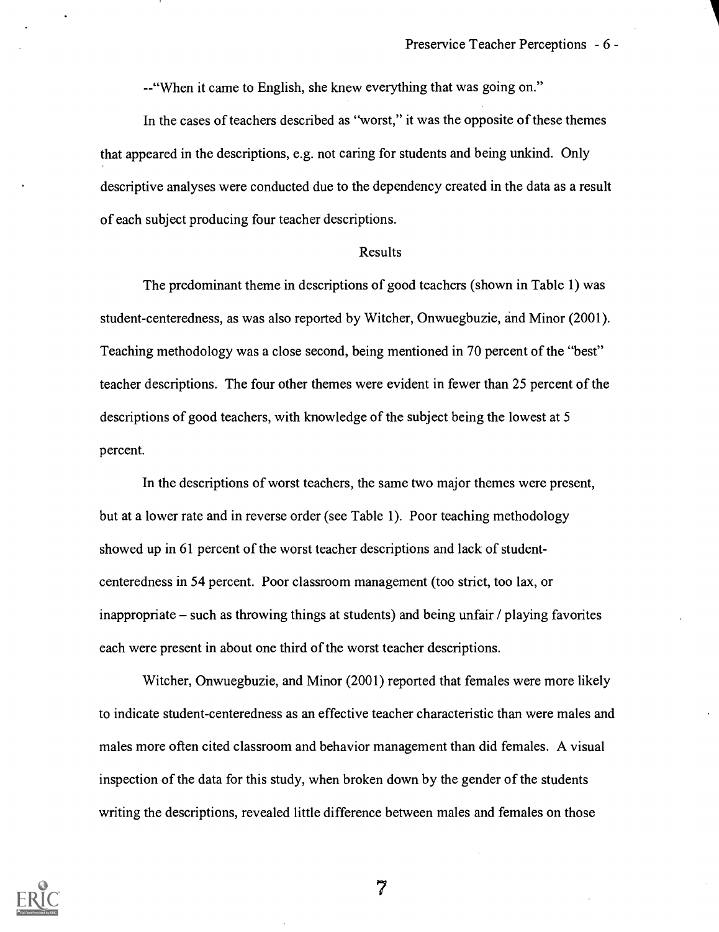-- "When it came to English, she knew everything that was going on."

In the cases of teachers described as "worst," it was the opposite of these themes that appeared in the descriptions, e.g. not caring for students and being unkind. Only descriptive analyses were conducted due to the dependency created in the data as a result of each subject producing four teacher descriptions.

#### Results

The predominant theme in descriptions of good teachers (shown in Table 1) was student-centeredness, as was also reported by Witcher, Onwuegbuzie, and Minor (2001). Teaching methodology was a close second, being mentioned in 70 percent of the "best" teacher descriptions. The four other themes were evident in fewer than 25 percent of the descriptions of good teachers, with knowledge of the subject being the lowest at 5 percent.

In the descriptions of worst teachers, the same two major themes were present, but at a lower rate and in reverse order (see Table 1). Poor teaching methodology showed up in 61 percent of the worst teacher descriptions and lack of studentcenteredness in 54 percent. Poor classroom management (too strict, too lax, or inappropriate – such as throwing things at students) and being unfair / playing favorites each were present in about one third of the worst teacher descriptions.

Witcher, Onwuegbuzie, and Minor (2001) reported that females were more likely to indicate student-centeredness as an effective teacher characteristic than were males and males more often cited classroom and behavior management than did females. A visual inspection of the data for this study, when broken down by the gender of the students writing the descriptions, revealed little difference between males and females on those

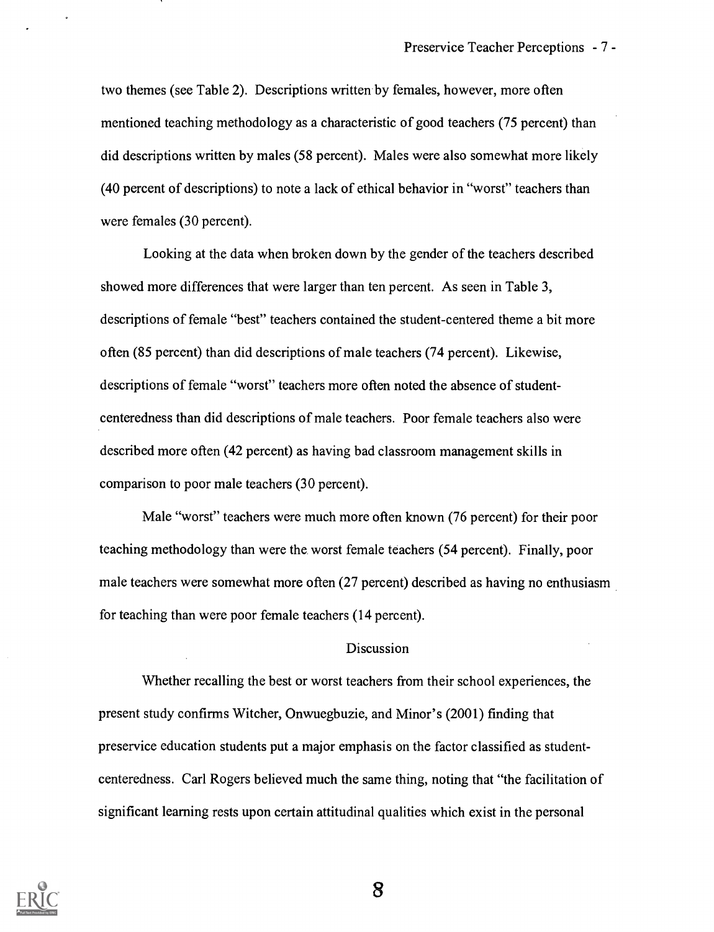two themes (see Table 2). Descriptions written by females, however, more often mentioned teaching methodology as a characteristic of good teachers (75 percent) than did descriptions written by males (58 percent). Males were also somewhat more likely (40 percent of descriptions) to note a lack of ethical behavior in "worst" teachers than were females (30 percent).

Looking at the data when broken down by the gender of the teachers described showed more differences that were larger than ten percent. As seen in Table 3, descriptions of female "best" teachers contained the student-centered theme a bit more often (85 percent) than did descriptions of male teachers (74 percent). Likewise, descriptions of female "worst" teachers more often noted the absence of studentcenteredness than did descriptions of male teachers. Poor female teachers also were described more often (42 percent) as having bad classroom management skills in comparison to poor male teachers (30 percent).

Male "worst" teachers were much more often known (76 percent) for their poor teaching methodology than were the worst female teachers (54 percent). Finally, poor male teachers were somewhat more often (27 percent) described as having no enthusiasm for teaching than were poor female teachers (14 percent).

#### Discussion

Whether recalling the best or worst teachers from their school experiences, the present study confirms Witcher, Onwuegbuzie, and Minor's (2001) finding that preservice education students put a major emphasis on the factor classified as studentcenteredness. Carl Rogers believed much the same thing, noting that "the facilitation of significant learning rests upon certain attitudinal qualities which exist in the personal

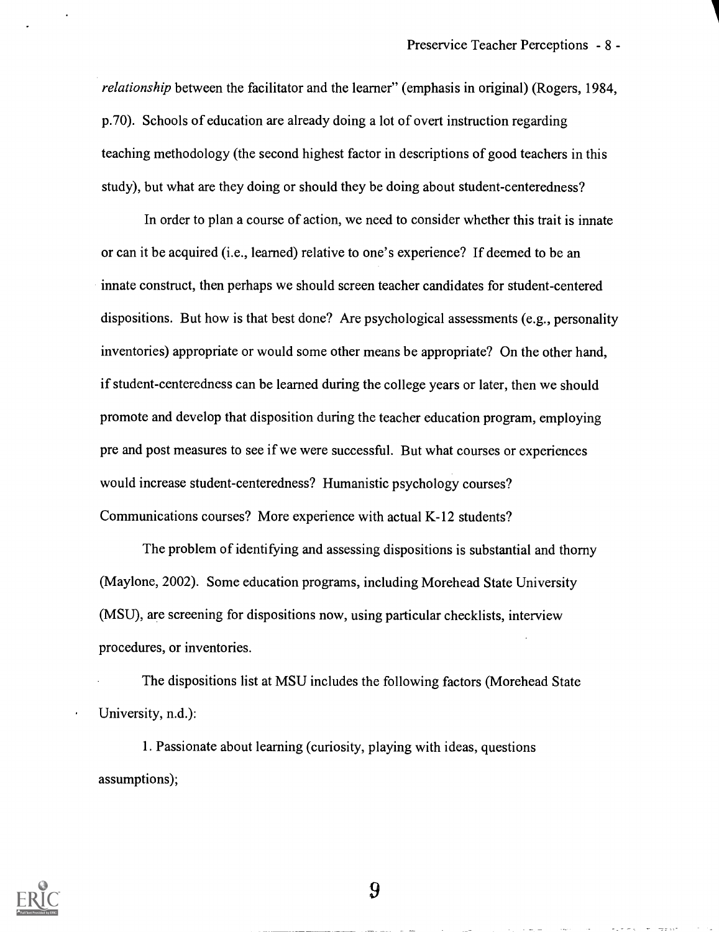relationship between the facilitator and the learner" (emphasis in original) (Rogers, 1984, p.70). Schools of education are already doing a lot of overt instruction regarding teaching methodology (the second highest factor in descriptions of good teachers in this study), but what are they doing or should they be doing about student-centeredness?

In order to plan a course of action, we need to consider whether this trait is innate or can it be acquired (i.e., learned) relative to one's experience? If deemed to be an innate construct, then perhaps we should screen teacher candidates for student-centered dispositions. But how is that best done? Are psychological assessments (e.g., personality inventories) appropriate or would some other means be appropriate? On the other hand, if student-centeredness can be learned during the college years or later, then we should promote and develop that disposition during the teacher education program, employing pre and post measures to see if we were successful. But what courses or experiences would increase student-centeredness? Humanistic psychology courses? Communications courses? More experience with actual K-12 students?

The problem of identifying and assessing dispositions is substantial and thorny (Maylone, 2002). Some education programs, including Morehead State University (MSU), are screening for dispositions now, using particular checklists, interview procedures, or inventories.

The dispositions list at MSU includes the following factors (Morehead State University, n.d.):

1. Passionate about learning (curiosity, playing with ideas, questions assumptions);

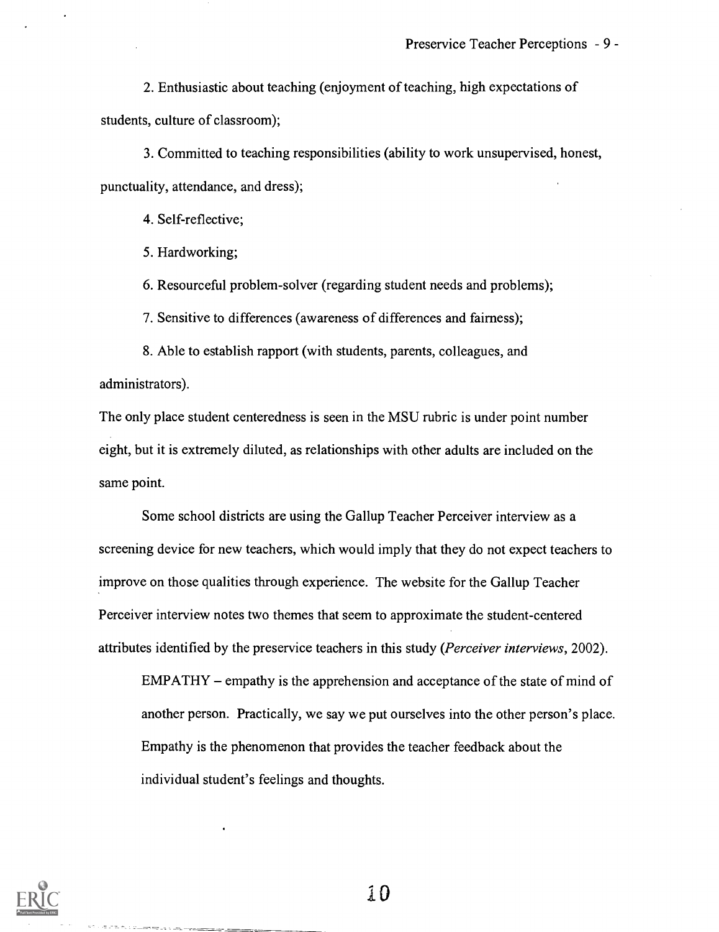2. Enthusiastic about teaching (enjoyment of teaching, high expectations of students, culture of classroom);

3. Committed to teaching responsibilities (ability to work unsupervised, honest, punctuality, attendance, and dress);

4. Self-reflective;

5. Hardworking;

6. Resourceful problem-solver (regarding student needs and problems);

7. Sensitive to differences (awareness of differences and fairness);

8. Able to establish rapport (with students, parents, colleagues, and administrators).

The only place student centeredness is seen in the MSU rubric is under point number eight, but it is extremely diluted, as relationships with other adults are included on the same point.

Some school districts are using the Gallup Teacher Perceiver interview as a screening device for new teachers, which would imply that they do not expect teachers to improve on those qualities through experience. The website for the Gallup Teacher Perceiver interview notes two themes that seem to approximate the student-centered attributes identified by the preservice teachers in this study (Perceiver interviews, 2002).

EMPATHY – empathy is the apprehension and acceptance of the state of mind of another person. Practically, we say we put ourselves into the other person's place. Empathy is the phenomenon that provides the teacher feedback about the individual student's feelings and thoughts.



 $\label{eq:reduced} \mathcal{L} = -\frac{1}{2} \mathcal{L} \mathcal{L} \mathcal{L} = -\mathcal{L} \mathcal{L}$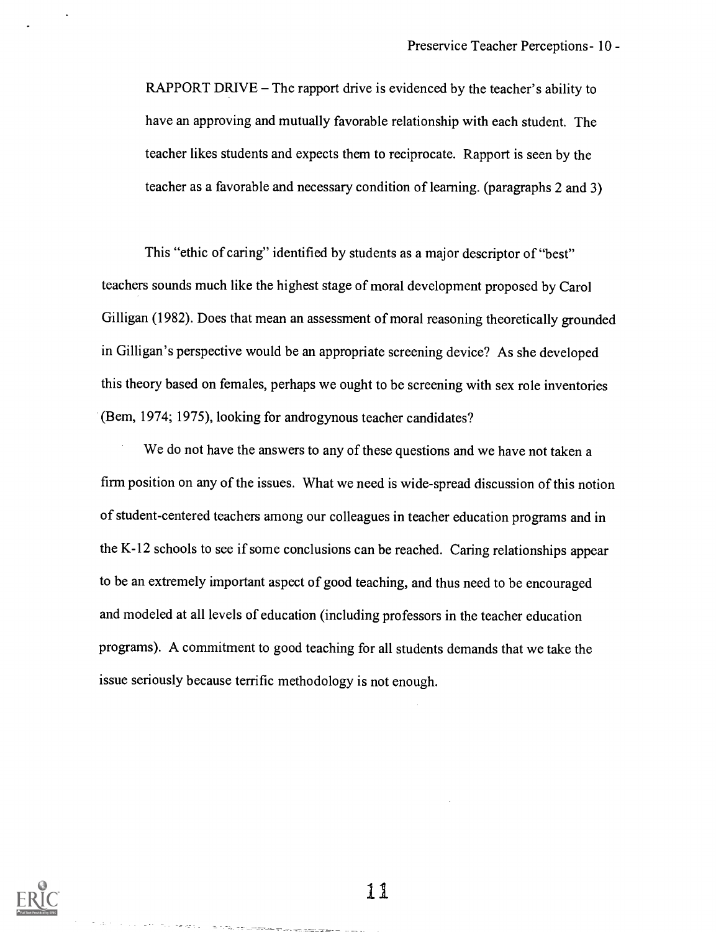RAPPORT DRIVE  $-$  The rapport drive is evidenced by the teacher's ability to have an approving and mutually favorable relationship with each student. The teacher likes students and expects them to reciprocate. Rapport is seen by the teacher as a favorable and necessary condition of learning. (paragraphs <sup>2</sup> and 3)

This "ethic of caring" identified by students as a major descriptor of "best" teachers sounds much like the highest stage of moral development proposed by Carol Gilligan (1982). Does that mean an assessment of moral reasoning theoretically grounded in Gilligan's perspective would be an appropriate screening device? As she developed this theory based on females, perhaps we ought to be screening with sex role inventories (Bem, 1974; 1975), looking for androgynous teacher candidates?

We do not have the answers to any of these questions and we have not taken a firm position on any of the issues. What we need is wide-spread discussion of this notion of student-centered teachers among our colleagues in teacher education programs and in the K-12 schools to see if some conclusions can be reached. Caring relationships appear to be an extremely important aspect of good teaching, and thus need to be encouraged and modeled at all levels of education (including professors in the teacher education programs). A commitment to good teaching for all students demands that we take the issue seriously because terrific methodology is not enough.

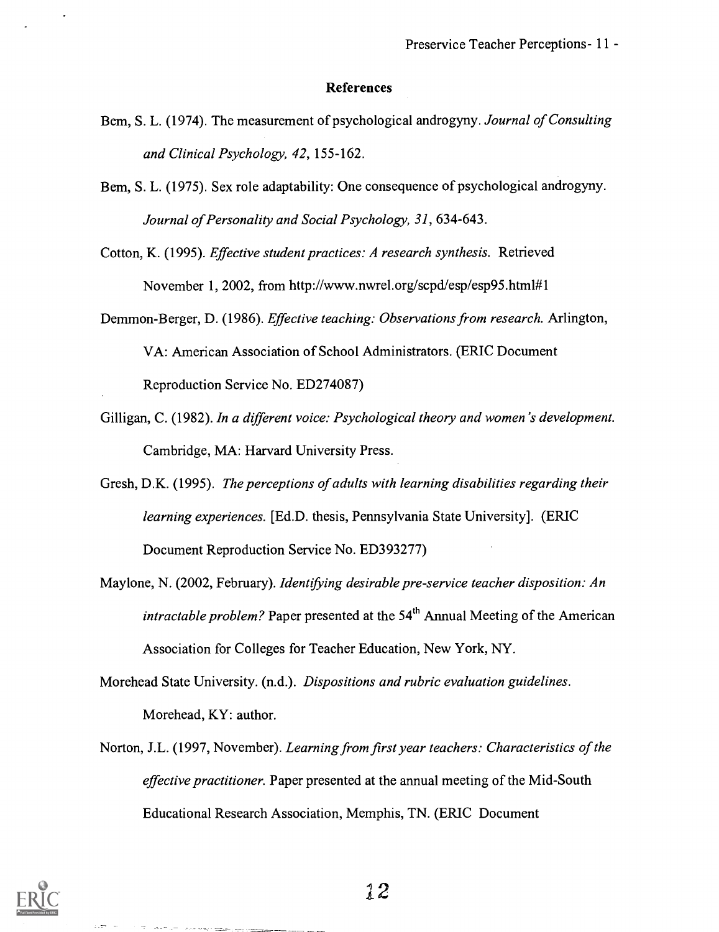#### References

- Bem, S. L. (1974). The measurement of psychological androgyny. Journal of Consulting and Clinical Psychology, 42, 155-162.
- Bern, S. L. (1975). Sex role adaptability: One consequence of psychological androgyny. Journal of Personality and Social Psychology, 31, 634-643.

Cotton, K. (1995). Effective student practices: A research synthesis. Retrieved November 1, 2002, from http://www.nwrel.org/scpd/esp/esp95.html#1

Demmon-Berger, D. (1986). Effective teaching: Observations from research. Arlington,

VA: American Association of School Administrators. (ERIC Document

Reproduction Service No. ED274087)

- Gilligan, C. (1982). In a different voice: Psychological theory and women's development. Cambridge, MA: Harvard University Press.
- Gresh, D.K. (1995). The perceptions of adults with learning disabilities regarding their learning experiences. [Ed.D. thesis, Pennsylvania State University]. (ERIC Document Reproduction Service No. ED393277)
- Maylone, N. (2002, February). Identifying desirable pre-service teacher disposition: An *intractable problem?* Paper presented at the  $54<sup>th</sup>$  Annual Meeting of the American Association for Colleges for Teacher Education, New York, NY.
- Morehead State University. (n.d.). Dispositions and rubric evaluation guidelines. Morehead, KY: author.
- Norton, J.L. (1997, November). Learning from first year teachers: Characteristics of the effective practitioner. Paper presented at the annual meeting of the Mid-South Educational Research Association, Memphis, TN. (ERIC Document



 $\sigma_{\rm{eff}}=\sigma_{\rm{eff}}$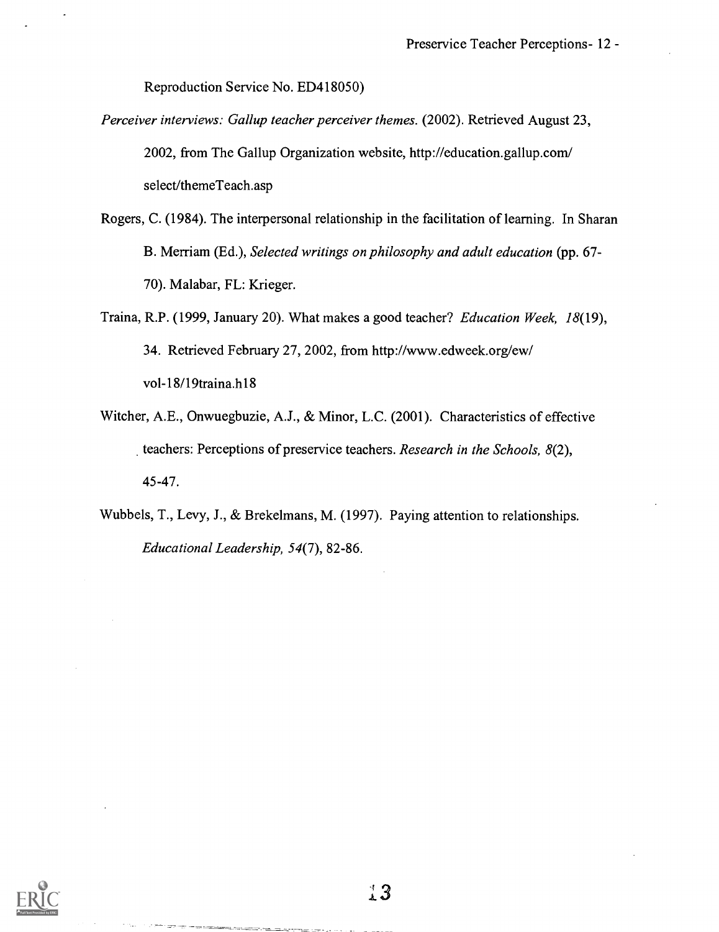Reproduction Service No. ED418050)

- Perceiver interviews: Gallup teacher perceiver themes. (2002). Retrieved August 23, 2002, from The Gallup Organization website, http://education.gallup.com/ select/themeTeach.asp
- Rogers, C. (1984). The interpersonal relationship in the facilitation of learning. In Sharan B. Merriam (Ed.), Selected writings on philosophy and adult education (pp. 67- 70). Malabar, FL: Krieger.
- Traina, R.P. (1999, January 20). What makes a good teacher? Education Week, 18(19), 34. Retrieved February 27, 2002, from http://www.edweek.org/ew/ vol-18/19traina.h18
- Witcher, A.E., Onwuegbuzie, A.J., & Minor, L.C. (2001). Characteristics of effective teachers: Perceptions of preservice teachers. Research in the Schools, 8(2), 45-47.

Wubbels, T., Levy, J., & Brekelmans, M. (1997). Paying attention to relationships. Educational Leadership, 54(7), 82-86.

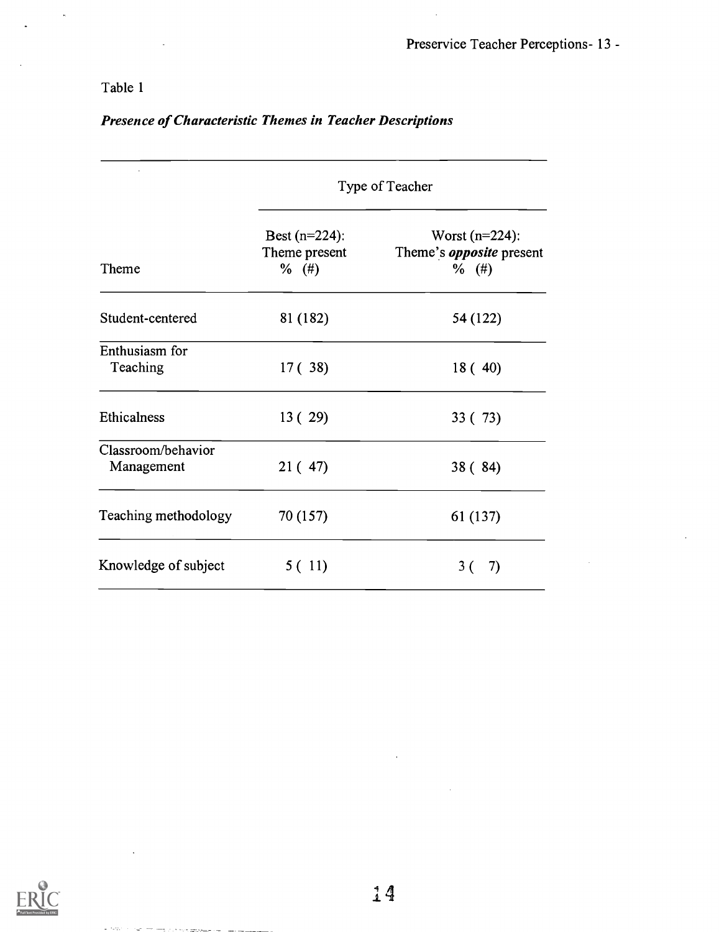$\bar{\gamma}$ 

## Table 1

## Presence of Characteristic Themes in Teacher Descriptions

|                                  | Type of Teacher                              |                                                                 |  |
|----------------------------------|----------------------------------------------|-----------------------------------------------------------------|--|
| Theme                            | Best $(n=224)$ :<br>Theme present<br>$%$ (#) | Worst $(n=224)$ :<br>Theme's <i>opposite</i> present<br>$%$ (#) |  |
| Student-centered                 | 81 (182)                                     | 54 (122)                                                        |  |
| Enthusiasm for<br>Teaching       | 17(38)                                       | 18(40)                                                          |  |
| Ethicalness                      | 13(29)                                       | 33 (73)                                                         |  |
| Classroom/behavior<br>Management | 21(47)                                       | 38(84)                                                          |  |
| Teaching methodology             | 70 (157)                                     | 61 (137)                                                        |  |
| Knowledge of subject             | 5(11)                                        | 3 (<br>7)                                                       |  |



mate a strong processing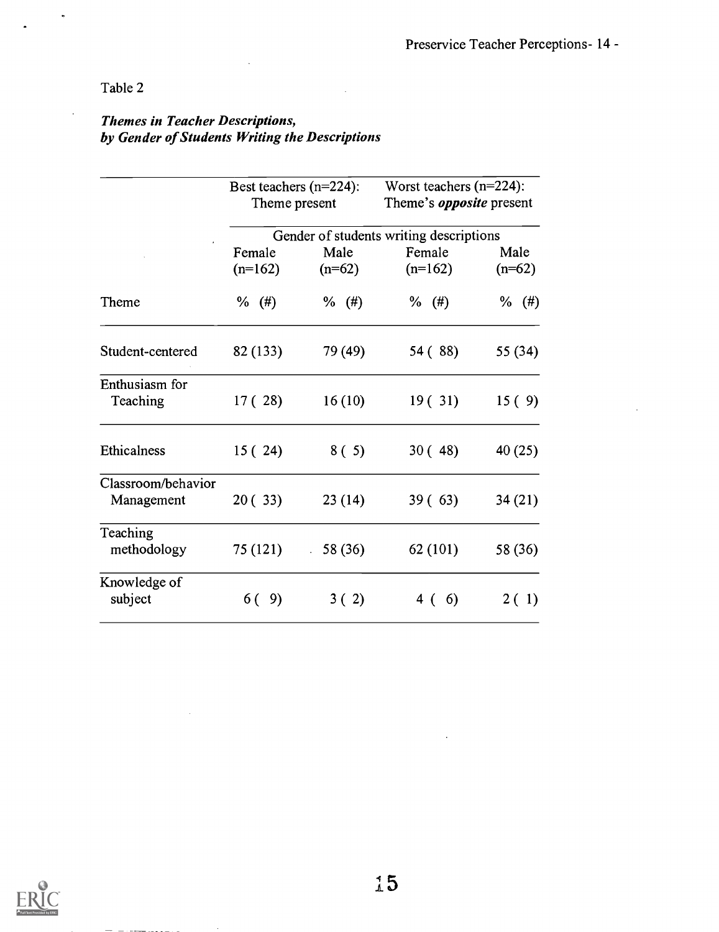## Table 2

## Themes in Teacher Descriptions, by Gender of Students Writing the Descriptions

|                                  |                                         | Worst teachers $(n=224)$ :<br>Best teachers $(n=224)$ :<br>Theme's <i>opposite</i> present<br>Theme present |                     |                  |
|----------------------------------|-----------------------------------------|-------------------------------------------------------------------------------------------------------------|---------------------|------------------|
|                                  | Gender of students writing descriptions |                                                                                                             |                     |                  |
|                                  | Female<br>$(n=162)$                     | Male<br>$(n=62)$                                                                                            | Female<br>$(n=162)$ | Male<br>$(n=62)$ |
| Theme                            | $%$ (#)                                 | $%$ (#)                                                                                                     | $%$ (#)             | $%$ (#)          |
| Student-centered                 | 82 (133)                                | 79 (49)                                                                                                     | 54 (88)             | 55 (34)          |
| Enthusiasm for<br>Teaching       | 17(28)                                  | 16(10)                                                                                                      | 19(31)              | 15(9)            |
| Ethicalness                      | 15(24)                                  | 8(5)                                                                                                        | 30(48)              | 40(25)           |
| Classroom/behavior<br>Management | 20(33)                                  | 23(14)                                                                                                      | 39(63)              | 34(21)           |
| Teaching<br>methodology          | 75 (121)                                | 58 (36)<br>$\mathcal{L}_{\rm{eff}}$                                                                         | 62 (101)            | 58 (36)          |
| Knowledge of<br>subject          | 6 (<br>9)                               | 3(2)                                                                                                        | 6)<br>4 (           | 2(1)             |

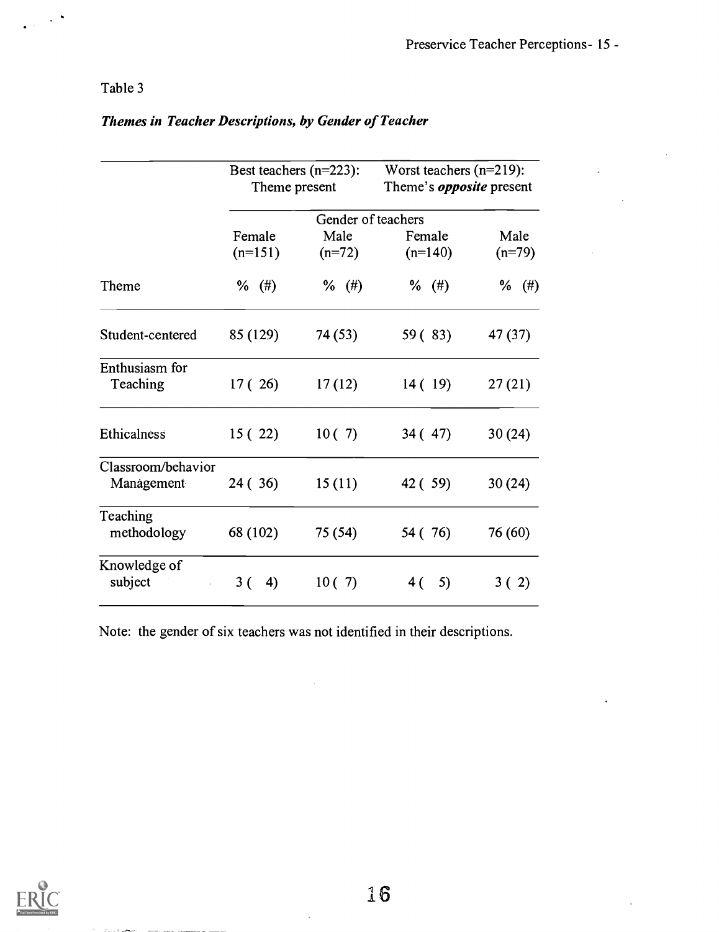## Table 3

 $\mathbf{v}$ 

|                                  | Best teachers $(n=223)$ :<br>Theme present |          | Worst teachers $(n=219)$ :<br>Theme's <i>opposite</i> present |          |
|----------------------------------|--------------------------------------------|----------|---------------------------------------------------------------|----------|
|                                  | Gender of teachers                         |          |                                                               |          |
|                                  | Female                                     | Male     | Female                                                        | Male     |
|                                  | $(n=151)$                                  | $(n=72)$ | $(n=140)$                                                     | $(n=79)$ |
| Theme                            | %<br>$^{(+)}$                              | $\%$ (#) | $%$ (#)                                                       | $%$ (#)  |
| Student-centered                 | 85 (129)                                   | 74 (53)  | 59 (83)                                                       | 47 (37)  |
| Enthusiasm for<br>Teaching       | 17(26)                                     | 17(12)   | 14(19)                                                        | 27(21)   |
| Ethicalness                      | 15(22)                                     | 10(7)    | 34(47)                                                        | 30(24)   |
| Classroom/behavior<br>Management | 24 (36)                                    | 15(11)   | 42 (59)                                                       | 30(24)   |
| Teaching<br>methodology          | 68 (102)                                   | 75 (54)  | 54 (76)                                                       | 76 (60)  |
| Knowledge of<br>subject          | 3(<br>4)                                   | 10(7)    | 5)<br>4 (                                                     | 3(2)     |

## Themes in Teacher Descriptions, by Gender of Teacher

Note: the gender of six teachers was not identified in their descriptions.

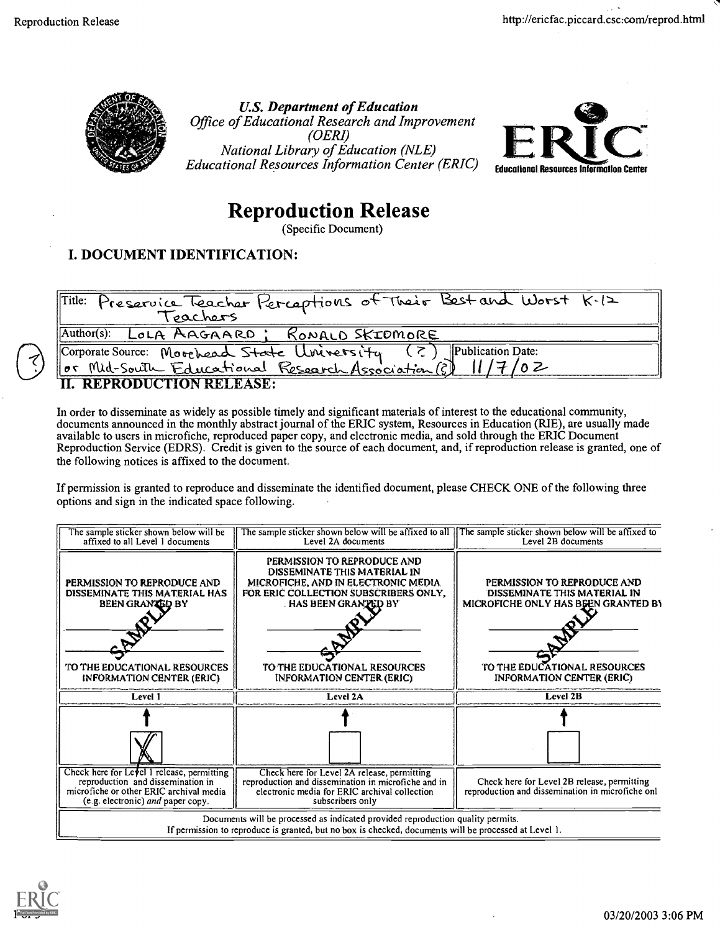

U.S. Department of Education Office of Educational Research and Improvement (OERI) National Library of Education (NLE) Educational Resources Information Center (ERIC)



# Reproduction Release

(Specific Document)

## I. DOCUMENT IDENTIFICATION:

| Title: Preservice Teacher Perceptions of Their Best and Worst K.12 |
|--------------------------------------------------------------------|
|                                                                    |
| Author(s): LOLA AAGAARD; RONALD SKIDMORE                           |
| Corporate Source: Movehead State Uviversity (?) Publication Date:  |
| Or Mid-South Educational Research Association (?) 11/7/02          |
| <b>II. REPRODUCTION RELEASE:</b>                                   |

In order to disseminate as widely as possible timely and significant materials of interest to the educational community, documents announced in the monthly abstract journal of the ERIC system, Resources in Education (RIE), are usually made available to users in microfiche, reproduced paper copy, and electronic media, and sold through the ERIC Document Reproduction Service (EDRS). Credit is given to the source of each document, and, if reproduction release is granted, one of the following notices is affixed to the document.

If permission is granted to reproduce and disseminate the identified document, please CHECK ONE of the following three options and sign in the indicated space following.

| The sample sticker shown below will be<br>affixed to all Level 1 documents                                                                                      | The sample sticker shown below will be affixed to all [The sample sticker shown below will be affixed to<br>Level 2A documents                                                                                                                 | Level 2B documents                                                                                                                                                     |
|-----------------------------------------------------------------------------------------------------------------------------------------------------------------|------------------------------------------------------------------------------------------------------------------------------------------------------------------------------------------------------------------------------------------------|------------------------------------------------------------------------------------------------------------------------------------------------------------------------|
| PERMISSION TO REPRODUCE AND<br>DISSEMINATE THIS MATERIAL HAS<br><b>BEEN GRANTED BY</b><br>TO THE EDUCATIONAL RESOURCES<br><b>INFORMATION CENTER (ERIC)</b>      | PERMISSION TO REPRODUCE AND<br>DISSEMINATE THIS MATERIAL IN<br>MICROFICHE, AND IN ELECTRONIC MEDIA.<br>FOR ERIC COLLECTION SUBSCRIBERS ONLY,<br><b>HAS BEEN GRANTED BY</b><br>TO THE EDUCATIONAL RESOURCES<br><b>INFORMATION CENTER (ERIC)</b> | PERMISSION TO REPRODUCE AND<br>DISSEMINATE THIS MATERIAL IN<br>MICROFICHE ONLY HAS BEEN GRANTED BY<br>TO THE EDUCATIONAL RESOURCES<br><b>INFORMATION CENTER (ERIC)</b> |
| Level 1                                                                                                                                                         | Level 2A                                                                                                                                                                                                                                       | Level 2B                                                                                                                                                               |
|                                                                                                                                                                 |                                                                                                                                                                                                                                                |                                                                                                                                                                        |
| Check here for Level 1 release, permitting<br>reproduction and dissemination in<br>microfiche or other ERIC archival media<br>(e.g. electronic) and paper copy. | Check here for Level $2\overline{A}$ release, permitting<br>reproduction and dissemination in microfiche and in<br>electronic media for ERIC archival collection<br>subscribers only                                                           | Check here for Level 2B release, permitting<br>reproduction and dissemination in microfiche onl                                                                        |
|                                                                                                                                                                 | Documents will be processed as indicated provided reproduction quality permits.<br>If permission to reproduce is granted, but no box is checked, documents will be processed at Level 1.                                                       |                                                                                                                                                                        |